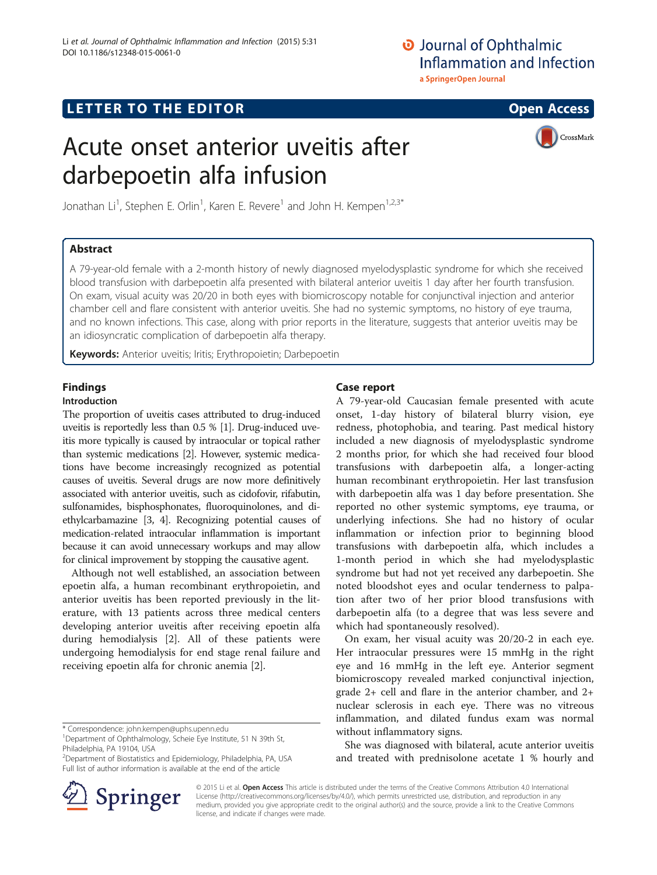## O Journal of Ophthalmic Inflammation and Infection a SpringerOpen Journal

**LETTER TO THE EDITOR CONSIDERING ACCESS** 

# Acute onset anterior uveitis after darbepoetin alfa infusion



Jonathan Li<sup>1</sup>, Stephen E. Orlin<sup>1</sup>, Karen E. Revere<sup>1</sup> and John H. Kempen<sup>1,2,3\*</sup>

## Abstract

A 79-year-old female with a 2-month history of newly diagnosed myelodysplastic syndrome for which she received blood transfusion with darbepoetin alfa presented with bilateral anterior uveitis 1 day after her fourth transfusion. On exam, visual acuity was 20/20 in both eyes with biomicroscopy notable for conjunctival injection and anterior chamber cell and flare consistent with anterior uveitis. She had no systemic symptoms, no history of eye trauma, and no known infections. This case, along with prior reports in the literature, suggests that anterior uveitis may be an idiosyncratic complication of darbepoetin alfa therapy.

Keywords: Anterior uveitis; Iritis; Erythropoietin; Darbepoetin

# Findings

### Introduction

The proportion of uveitis cases attributed to drug-induced uveitis is reportedly less than 0.5 % [[1](#page-1-0)]. Drug-induced uveitis more typically is caused by intraocular or topical rather than systemic medications [[2](#page-1-0)]. However, systemic medications have become increasingly recognized as potential causes of uveitis. Several drugs are now more definitively associated with anterior uveitis, such as cidofovir, rifabutin, sulfonamides, bisphosphonates, fluoroquinolones, and diethylcarbamazine [\[3, 4\]](#page-1-0). Recognizing potential causes of medication-related intraocular inflammation is important because it can avoid unnecessary workups and may allow for clinical improvement by stopping the causative agent.

Although not well established, an association between epoetin alfa, a human recombinant erythropoietin, and anterior uveitis has been reported previously in the literature, with 13 patients across three medical centers developing anterior uveitis after receiving epoetin alfa during hemodialysis [[2\]](#page-1-0). All of these patients were undergoing hemodialysis for end stage renal failure and receiving epoetin alfa for chronic anemia [[2\]](#page-1-0).



A 79-year-old Caucasian female presented with acute onset, 1-day history of bilateral blurry vision, eye redness, photophobia, and tearing. Past medical history included a new diagnosis of myelodysplastic syndrome 2 months prior, for which she had received four blood transfusions with darbepoetin alfa, a longer-acting human recombinant erythropoietin. Her last transfusion with darbepoetin alfa was 1 day before presentation. She reported no other systemic symptoms, eye trauma, or underlying infections. She had no history of ocular inflammation or infection prior to beginning blood transfusions with darbepoetin alfa, which includes a 1-month period in which she had myelodysplastic syndrome but had not yet received any darbepoetin. She noted bloodshot eyes and ocular tenderness to palpation after two of her prior blood transfusions with darbepoetin alfa (to a degree that was less severe and which had spontaneously resolved).

On exam, her visual acuity was 20/20-2 in each eye. Her intraocular pressures were 15 mmHg in the right eye and 16 mmHg in the left eye. Anterior segment biomicroscopy revealed marked conjunctival injection, grade 2+ cell and flare in the anterior chamber, and 2+ nuclear sclerosis in each eye. There was no vitreous inflammation, and dilated fundus exam was normal without inflammatory signs.

She was diagnosed with bilateral, acute anterior uveitis and treated with prednisolone acetate 1 % hourly and

© 2015 Li et al. Open Access This article is distributed under the terms of the Creative Commons Attribution 4.0 International License [\(http://creativecommons.org/licenses/by/4.0/](http://creativecommons.org/licenses/by/4.0/)), which permits unrestricted use, distribution, and reproduction in any medium, provided you give appropriate credit to the original author(s) and the source, provide a link to the Creative Commons license, and indicate if changes were made.



<sup>\*</sup> Correspondence: [john.kempen@uphs.upenn.edu](mailto:john.kempen@uphs.upenn.edu) <sup>1</sup>

Department of Ophthalmology, Scheie Eye Institute, 51 N 39th St, Philadelphia, PA 19104, USA

<sup>2</sup> Department of Biostatistics and Epidemiology, Philadelphia, PA, USA Full list of author information is available at the end of the article